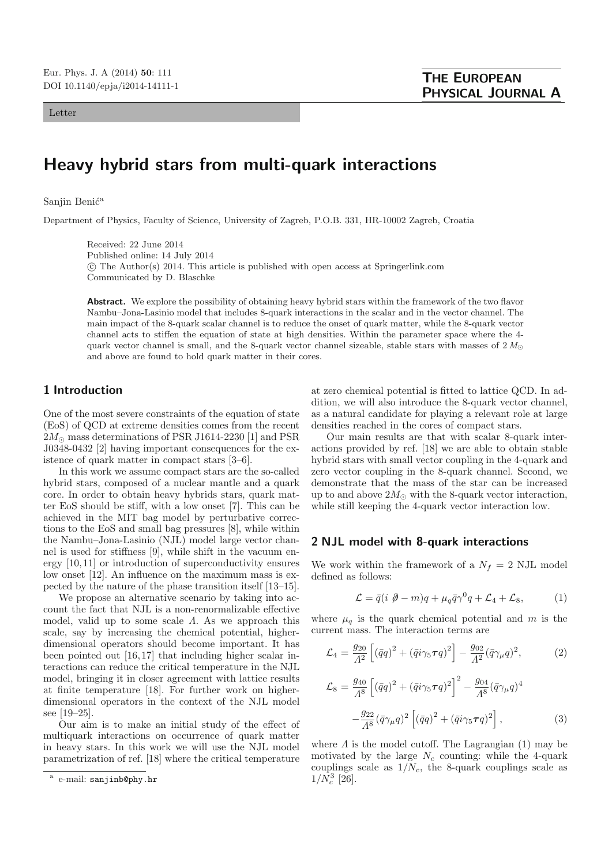Letter

# **Heavy hybrid stars from multi-quark interactions**

#### Sanjin Benić<sup>a</sup>

Department of Physics, Faculty of Science, University of Zagreb, P.O.B. 331, HR-10002 Zagreb, Croatia

Received: 22 June 2014 Published online: 14 July 2014 -c The Author(s) 2014. This article is published with open access at Springerlink.com Communicated by D. Blaschke

**Abstract.** We explore the possibility of obtaining heavy hybrid stars within the framework of the two flavor Nambu–Jona-Lasinio model that includes 8-quark interactions in the scalar and in the vector channel. The main impact of the 8-quark scalar channel is to reduce the onset of quark matter, while the 8-quark vector channel acts to stiffen the equation of state at high densities. Within the parameter space where the 4 quark vector channel is small, and the 8-quark vector channel sizeable, stable stars with masses of  $2 M_{\odot}$ and above are found to hold quark matter in their cores.

## **1 Introduction**

One of the most severe constraints of the equation of state (EoS) of QCD at extreme densities comes from the recent  $2M_{\odot}$  mass determinations of PSR J1614-2230 [1] and PSR J0348-0432 [2] having important consequences for the existence of quark matter in compact stars [3–6].

In this work we assume compact stars are the so-called hybrid stars, composed of a nuclear mantle and a quark core. In order to obtain heavy hybrids stars, quark matter EoS should be stiff, with a low onset [7]. This can be achieved in the MIT bag model by perturbative corrections to the EoS and small bag pressures [8], while within the Nambu–Jona-Lasinio (NJL) model large vector channel is used for stiffness [9], while shift in the vacuum energy [10,11] or introduction of superconductivity ensures low onset [12]. An influence on the maximum mass is expected by the nature of the phase transition itself [13–15].

We propose an alternative scenario by taking into account the fact that NJL is a non-renormalizable effective model, valid up to some scale  $\Lambda$ . As we approach this scale, say by increasing the chemical potential, higherdimensional operators should become important. It has been pointed out [16,17] that including higher scalar interactions can reduce the critical temperature in the NJL model, bringing it in closer agreement with lattice results at finite temperature [18]. For further work on higherdimensional operators in the context of the NJL model see [19–25].

Our aim is to make an initial study of the effect of multiquark interactions on occurrence of quark matter in heavy stars. In this work we will use the NJL model parametrization of ref. [18] where the critical temperature

at zero chemical potential is fitted to lattice QCD. In addition, we will also introduce the 8-quark vector channel, as a natural candidate for playing a relevant role at large densities reached in the cores of compact stars.

Our main results are that with scalar 8-quark interactions provided by ref. [18] we are able to obtain stable hybrid stars with small vector coupling in the 4-quark and zero vector coupling in the 8-quark channel. Second, we demonstrate that the mass of the star can be increased up to and above  $2M_{\odot}$  with the 8-quark vector interaction, while still keeping the 4-quark vector interaction low.

#### **2 NJL model with 8-quark interactions**

We work within the framework of a  $N_f = 2$  NJL model defined as follows:

$$
\mathcal{L} = \bar{q}(i \ \partial - m)q + \mu_q \bar{q}\gamma^0 q + \mathcal{L}_4 + \mathcal{L}_8, \tag{1}
$$

where  $\mu_q$  is the quark chemical potential and m is the current mass. The interaction terms are

$$
\mathcal{L}_4 = \frac{g_{20}}{A^2} \left[ (\bar{q}q)^2 + (\bar{q}i\gamma_5 \tau q)^2 \right] - \frac{g_{02}}{A^2} (\bar{q}\gamma_\mu q)^2, \tag{2}
$$

$$
\mathcal{L}_{8} = \frac{g_{40}}{A^{8}} \left[ (\bar{q}q)^{2} + (\bar{q}i\gamma_{5}\tau q)^{2} \right]^{2} - \frac{g_{04}}{A^{8}} (\bar{q}\gamma_{\mu}q)^{4} - \frac{g_{22}}{A^{8}} (\bar{q}\gamma_{\mu}q)^{2} \left[ (\bar{q}q)^{2} + (\bar{q}i\gamma_{5}\tau q)^{2} \right],
$$
\n(3)

where  $\Lambda$  is the model cutoff. The Lagrangian (1) may be motivated by the large  $N_c$  counting: while the 4-quark couplings scale as  $1/N_c$ , the 8-quark couplings scale as  $1/N_c^3$  [26].

e-mail: sanjinb@phy.hr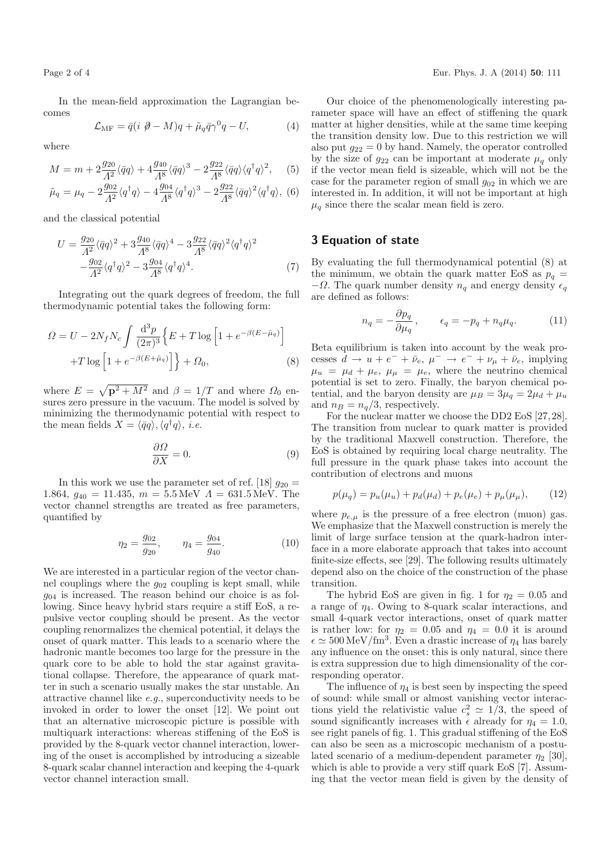In the mean-field approximation the Lagrangian becomes

$$
\mathcal{L}_{\rm MF} = \bar{q}(i \ \partial - M)q + \tilde{\mu}_q \bar{q}\gamma^0 q - U,\tag{4}
$$

where

$$
M = m + 2\frac{g_{20}}{A^2}\langle \bar{q}q \rangle + 4\frac{g_{40}}{A^8}\langle \bar{q}q \rangle^3 - 2\frac{g_{22}}{A^8}\langle \bar{q}q \rangle \langle q^\dagger q \rangle^2, \quad (5)
$$

$$
\tilde{\mu}_q = \mu_q - 2\frac{g_{02}}{A^2} \langle q^\dagger q \rangle - 4\frac{g_{04}}{A^8} \langle q^\dagger q \rangle^3 - 2\frac{g_{22}}{A^8} \langle \bar{q}q \rangle^2 \langle q^\dagger q \rangle, \tag{6}
$$

and the classical potential

$$
U = \frac{g_{20}}{A^2} \langle \bar{q}q \rangle^2 + 3 \frac{g_{40}}{A^8} \langle \bar{q}q \rangle^4 - 3 \frac{g_{22}}{A^8} \langle \bar{q}q \rangle^2 \langle q^{\dagger}q \rangle^2 - \frac{g_{02}}{A^2} \langle q^{\dagger}q \rangle^2 - 3 \frac{g_{04}}{A^8} \langle q^{\dagger}q \rangle^4.
$$
 (7)

Integrating out the quark degrees of freedom, the full thermodynamic potential takes the following form:

$$
\Omega = U - 2N_f N_c \int \frac{\mathrm{d}^3 p}{(2\pi)^3} \Big\{ E + T \log \left[ 1 + e^{-\beta (E - \tilde{\mu}_q)} \right] + T \log \left[ 1 + e^{-\beta (E + \tilde{\mu}_q)} \right] \Big\} + \Omega_0, \tag{8}
$$

where  $E = \sqrt{\mathbf{p}^2 + M^2}$  and  $\beta = 1/T$  and where  $\Omega_0$  ensures zero pressure in the vacuum. The model is solved by minimizing the thermodynamic potential with respect to the mean fields  $X = \langle \bar{q}q \rangle, \langle q^{\dagger}q \rangle, i.e.$ 

$$
\frac{\partial \Omega}{\partial X} = 0. \tag{9}
$$

In this work we use the parameter set of ref. [18]  $g_{20} =$ 1.864,  $g_{40} = 11.435$ ,  $m = 5.5 \,\text{MeV}$   $\Lambda = 631.5 \,\text{MeV}$ . The vector channel strengths are treated as free parameters, quantified by

$$
\eta_2 = \frac{g_{02}}{g_{20}}, \qquad \eta_4 = \frac{g_{04}}{g_{40}}.\tag{10}
$$

We are interested in a particular region of the vector channel couplings where the  $g_{02}$  coupling is kept small, while  $g_{04}$  is increased. The reason behind our choice is as following. Since heavy hybrid stars require a stiff EoS, a repulsive vector coupling should be present. As the vector coupling renormalizes the chemical potential, it delays the onset of quark matter. This leads to a scenario where the hadronic mantle becomes too large for the pressure in the quark core to be able to hold the star against gravitational collapse. Therefore, the appearance of quark matter in such a scenario usually makes the star unstable. An attractive channel like e.g., superconductivity needs to be invoked in order to lower the onset [12]. We point out that an alternative microscopic picture is possible with multiquark interactions: whereas stiffening of the EoS is provided by the 8-quark vector channel interaction, lowering of the onset is accomplished by introducing a sizeable 8-quark scalar channel interaction and keeping the 4-quark vector channel interaction small.

Our choice of the phenomenologically interesting parameter space will have an effect of stiffening the quark matter at higher densities, while at the same time keeping the transition density low. Due to this restriction we will also put  $g_{22} = 0$  by hand. Namely, the operator controlled by the size of  $g_{22}$  can be important at moderate  $\mu_q$  only if the vector mean field is sizeable, which will not be the case for the parameter region of small  $g_{02}$  in which we are interested in. In addition, it will not be important at high  $\mu_q$  since there the scalar mean field is zero.

#### **3 Equation of state**

By evaluating the full thermodynamical potential (8) at the minimum, we obtain the quark matter EoS as  $p_q =$  $-\Omega$ . The quark number density  $n_q$  and energy density  $\epsilon_q$ are defined as follows:

$$
n_q = -\frac{\partial p_q}{\partial \mu_q}, \qquad \epsilon_q = -p_q + n_q \mu_q. \tag{11}
$$

Beta equilibrium is taken into account by the weak processes  $d \rightarrow u + e^- + \bar{\nu}_e, \mu^- \rightarrow e^- + \nu_\mu + \bar{\nu}_e$ , implying  $\mu_u = \mu_d + \mu_e, \ \mu_\mu = \mu_e$ , where the neutrino chemical potential is set to zero. Finally, the baryon chemical potential, and the baryon density are  $\mu_B = 3\mu_q = 2\mu_d + \mu_u$ and  $n_B = n_q/3$ , respectively.

For the nuclear matter we choose the DD2 EoS [27,28]. The transition from nuclear to quark matter is provided by the traditional Maxwell construction. Therefore, the EoS is obtained by requiring local charge neutrality. The full pressure in the quark phase takes into account the contribution of electrons and muons

$$
p(\mu_q) = p_u(\mu_u) + p_d(\mu_d) + p_e(\mu_e) + p_\mu(\mu_\mu), \qquad (12)
$$

where  $p_{e,\mu}$  is the pressure of a free electron (muon) gas. We emphasize that the Maxwell construction is merely the limit of large surface tension at the quark-hadron interface in a more elaborate approach that takes into account finite-size effects, see [29]. The following results ultimately depend also on the choice of the construction of the phase transition.

The hybrid EoS are given in fig. 1 for  $\eta_2 = 0.05$  and a range of  $\eta_4$ . Owing to 8-quark scalar interactions, and small 4-quark vector interactions, onset of quark matter is rather low: for  $\eta_2 = 0.05$  and  $\eta_4 = 0.0$  it is around  $\epsilon \simeq 500 \,\mathrm{MeV}/\mathrm{fm}^3$ . Even a drastic increase of  $\eta_4$  has barely any influence on the onset: this is only natural, since there is extra suppression due to high dimensionality of the corresponding operator.

The influence of  $\eta_4$  is best seen by inspecting the speed of sound: while small or almost vanishing vector interactions yield the relativistic value  $c_s^2 \simeq 1/3$ , the speed of sound significantly increases with  $\epsilon$  already for  $\eta_4 = 1.0$ , see right panels of fig. 1. This gradual stiffening of the EoS can also be seen as a microscopic mechanism of a postulated scenario of a medium-dependent parameter  $\eta_2$  [30], which is able to provide a very stiff quark EoS [7]. Assuming that the vector mean field is given by the density of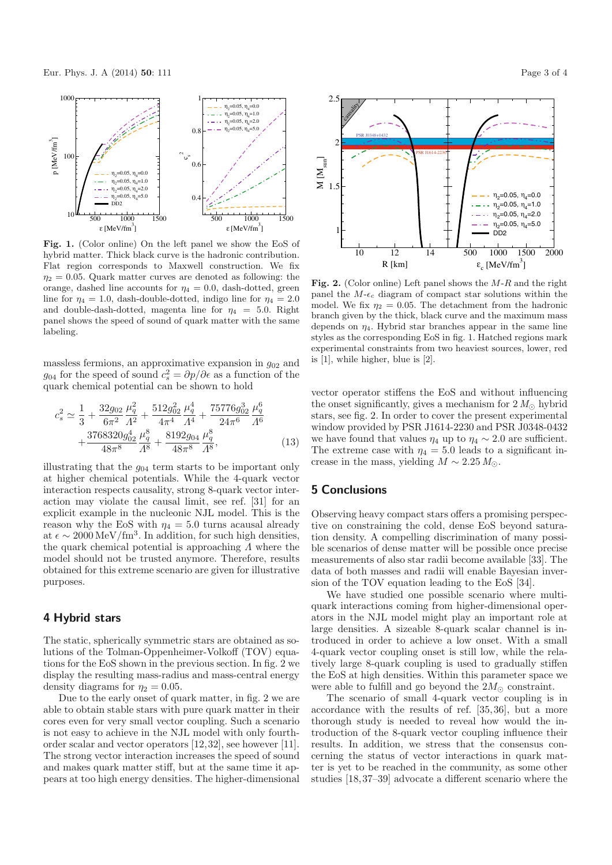

**Fig. 1.** (Color online) On the left panel we show the EoS of hybrid matter. Thick black curve is the hadronic contribution. Flat region corresponds to Maxwell construction. We fix  $\eta_2 = 0.05$ . Quark matter curves are denoted as following: the orange, dashed line accounts for  $\eta_4 = 0.0$ , dash-dotted, green line for  $\eta_4 = 1.0$ , dash-double-dotted, indigo line for  $\eta_4 = 2.0$ and double-dash-dotted, magenta line for  $\eta_4 = 5.0$ . Right panel shows the speed of sound of quark matter with the same labeling.

massless fermions, an approximative expansion in  $g_{02}$  and  $g_{04}$  for the speed of sound  $c_s^2 = \partial p/\partial \epsilon$  as a function of the quark chemical potential can be shown to hold

$$
c_s^2 \simeq \frac{1}{3} + \frac{32g_{02}}{6\pi^2} \frac{\mu_q^2}{A^2} + \frac{512g_{02}^2}{4\pi^4} \frac{\mu_q^4}{A^4} + \frac{75776g_{02}^3}{24\pi^6} \frac{\mu_q^6}{A^6} + \frac{3768320g_{02}^4}{48\pi^8} \frac{\mu_q^8}{A^8} + \frac{8192g_{04}}{48\pi^8} \frac{\mu_q^8}{A^8},
$$
(13)

illustrating that the  $q_{04}$  term starts to be important only at higher chemical potentials. While the 4-quark vector interaction respects causality, strong 8-quark vector interaction may violate the causal limit, see ref. [31] for an explicit example in the nucleonic NJL model. This is the reason why the EoS with  $\eta_4 = 5.0$  turns acausal already at  $\epsilon \sim 2000 \,\mathrm{MeV}/\mathrm{fm}^3$ . In addition, for such high densities, the quark chemical potential is approaching Λ where the model should not be trusted anymore. Therefore, results obtained for this extreme scenario are given for illustrative purposes.

#### **4 Hybrid stars**

The static, spherically symmetric stars are obtained as solutions of the Tolman-Oppenheimer-Volkoff (TOV) equations for the EoS shown in the previous section. In fig. 2 we display the resulting mass-radius and mass-central energy density diagrams for  $\eta_2 = 0.05$ .

Due to the early onset of quark matter, in fig. 2 we are able to obtain stable stars with pure quark matter in their cores even for very small vector coupling. Such a scenario is not easy to achieve in the NJL model with only fourthorder scalar and vector operators [12,32], see however [11]. The strong vector interaction increases the speed of sound and makes quark matter stiff, but at the same time it appears at too high energy densities. The higher-dimensional



**Fig. 2.** (Color online) Left panel shows the M-R and the right panel the  $M-\epsilon_c$  diagram of compact star solutions within the model. We fix  $\eta_2 = 0.05$ . The detachment from the hadronic branch given by the thick, black curve and the maximum mass depends on  $\eta_4$ . Hybrid star branches appear in the same line styles as the corresponding EoS in fig. 1. Hatched regions mark experimental constraints from two heaviest sources, lower, red is [1], while higher, blue is [2].

vector operator stiffens the EoS and without influencing the onset significantly, gives a mechanism for  $2 M_{\odot}$  hybrid stars, see fig. 2. In order to cover the present experimental window provided by PSR J1614-2230 and PSR J0348-0432 we have found that values  $\eta_4$  up to  $\eta_4 \sim 2.0$  are sufficient. The extreme case with  $\eta_4 = 5.0$  leads to a significant increase in the mass, yielding  $M \sim 2.25 M_{\odot}$ .

### **5 Conclusions**

Observing heavy compact stars offers a promising perspective on constraining the cold, dense EoS beyond saturation density. A compelling discrimination of many possible scenarios of dense matter will be possible once precise measurements of also star radii become available [33]. The data of both masses and radii will enable Bayesian inversion of the TOV equation leading to the EoS [34].

We have studied one possible scenario where multiquark interactions coming from higher-dimensional operators in the NJL model might play an important role at large densities. A sizeable 8-quark scalar channel is introduced in order to achieve a low onset. With a small 4-quark vector coupling onset is still low, while the relatively large 8-quark coupling is used to gradually stiffen the EoS at high densities. Within this parameter space we were able to fulfill and go beyond the  $2M_{\odot}$  constraint.

The scenario of small 4-quark vector coupling is in accordance with the results of ref. [35,36], but a more thorough study is needed to reveal how would the introduction of the 8-quark vector coupling influence their results. In addition, we stress that the consensus concerning the status of vector interactions in quark matter is yet to be reached in the community, as some other studies [18,37–39] advocate a different scenario where the